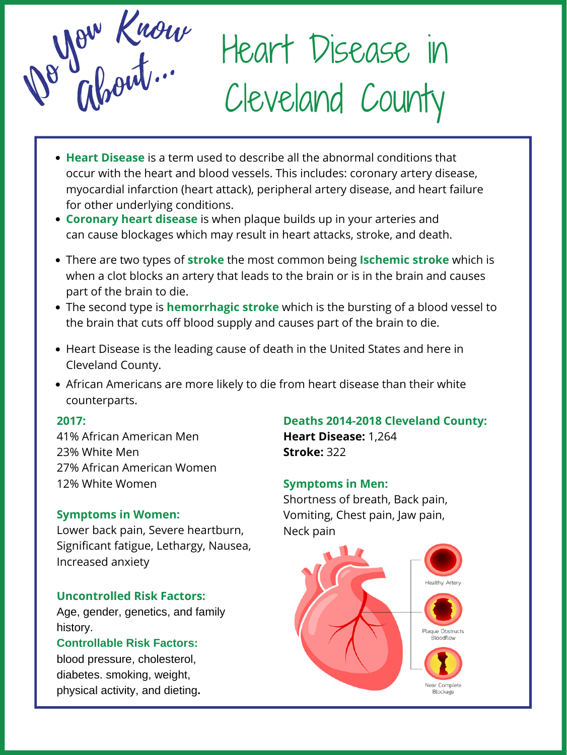Heart Disease in Cleveland County



#### **2017:**

41% African American Men 23% White Men 27% African American Women 12% White Women

- **Heart Disease** is a term used to describe all the abnormal conditions that occur with the heart and blood vessels. This includes: coronary artery disease, myocardial infarction (heart attack), peripheral artery disease, and heart failure for other underlying conditions.
- **Coronary heart disease** is when plaque builds up in your arteries and can cause blockages which may result in heart attacks, stroke, and death.
- There are two types of **stroke** the most common being **Ischemic stroke** which is when a clot blocks an artery that leads to the brain or is in the brain and causes part of the brain to die.
- The second type is **hemorrhagic stroke** which is the bursting of a blood vessel to the brain that cuts off blood supply and causes part of the brain to die.
- Heart Disease is the leading cause of death in the United States and here in Cleveland County.
- African Americans are more likely to die from heart disease than their white

counterparts.

### **Uncontrolled Risk Factors:**

Age, gender, genetics, and family history.

#### **Controllable Risk Factors:**

blood pressure, cholesterol, diabetes. smoking, weight, physical activity, and dieting**.**

### **Deaths 2014-2018 Cleveland County:**

**Heart Disease:** 1,264 **Stroke:** 322

### **Symptoms in Women:**

Lower back pain, Severe heartburn, Significant fatigue, Lethargy, Nausea, Increased anxiety

#### **Symptoms in Men:**

Shortness of breath, Back pain, Vomiting, Chest pain, Jaw pain, Neck pain